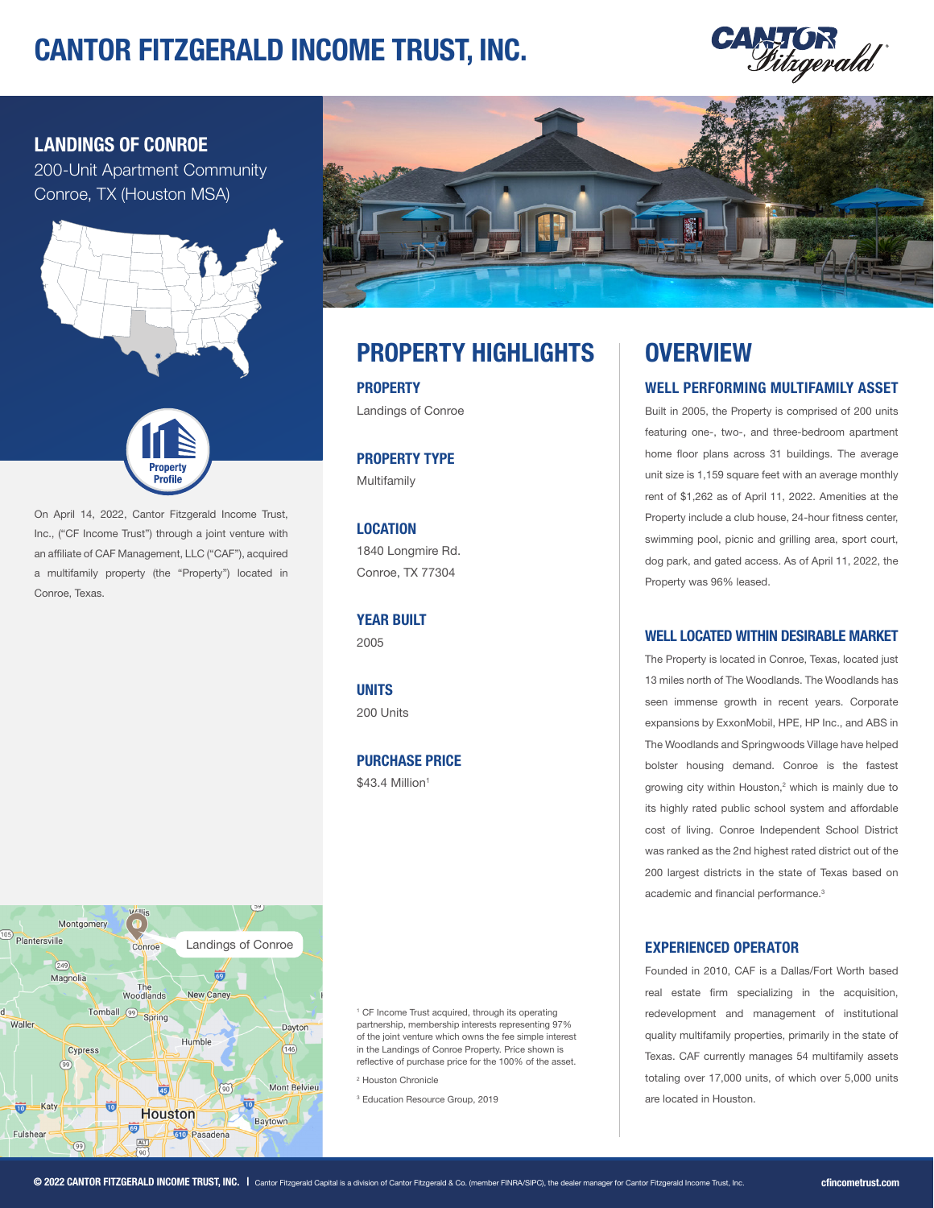## CANTOR FITZGERALD INCOME TRUST, INC.



### LANDINGS OF CONROE

200-Unit Apartment Community Conroe, TX (Houston MSA)





On April 14, 2022, Cantor Fitzgerald Income Trust, Inc., ("CF Income Trust") through a joint venture with an affiliate of CAF Management, LLC ("CAF"), acquired a multifamily property (the "Property") located in Conroe, Texas.





### PROPERTY HIGHLIGHTS

**PROPERTY** Landings of Conroe

### PROPERTY TYPE

Multifamily

#### LOCATION

1840 Longmire Rd. Conroe, TX 77304

YEAR BUILT 2005

#### UNITS

200 Units

#### PURCHASE PRICE

\$43.4 Million<sup>1</sup>

<sup>1</sup> CF Income Trust acquired, through its operating partnership, membership interests representing 97% of the joint venture which owns the fee simple interest in the Landings of Conroe Property. Price shown is reflective of purchase price for the 100% of the asset.

2 Houston Chronicle

3 Education Resource Group, 2019

## **OVERVIEW**

#### WELL PERFORMING MULTIFAMILY ASSET

Built in 2005, the Property is comprised of 200 units featuring one-, two-, and three-bedroom apartment home floor plans across 31 buildings. The average unit size is 1,159 square feet with an average monthly rent of \$1,262 as of April 11, 2022. Amenities at the Property include a club house, 24-hour fitness center, swimming pool, picnic and grilling area, sport court, dog park, and gated access. As of April 11, 2022, the Property was 96% leased.

#### WELL LOCATED WITHIN DESIRABLE MARKET

The Property is located in Conroe, Texas, located just 13 miles north of The Woodlands. The Woodlands has seen immense growth in recent years. Corporate expansions by ExxonMobil, HPE, HP Inc., and ABS in The Woodlands and Springwoods Village have helped bolster housing demand. Conroe is the fastest growing city within Houston,<sup>2</sup> which is mainly due to its highly rated public school system and affordable cost of living. Conroe Independent School District was ranked as the 2nd highest rated district out of the 200 largest districts in the state of Texas based on academic and financial performance.<sup>3</sup>

#### EXPERIENCED OPERATOR

Founded in 2010, CAF is a Dallas/Fort Worth based real estate firm specializing in the acquisition, redevelopment and management of institutional quality multifamily properties, primarily in the state of Texas. CAF currently manages 54 multifamily assets totaling over 17,000 units, of which over 5,000 units are located in Houston.